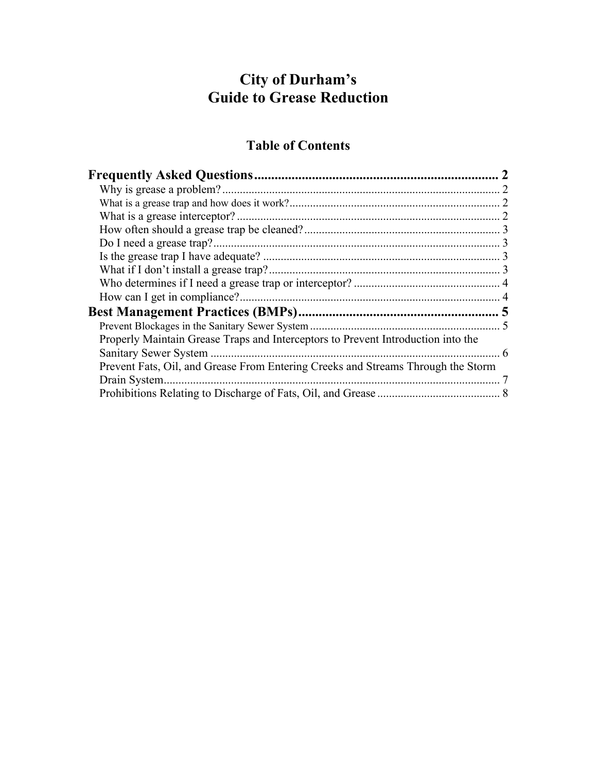# **City of Durham's Guide to Grease Reduction**

# **Table of Contents**

| Do I need a grease trap?.                                                        |   |
|----------------------------------------------------------------------------------|---|
|                                                                                  |   |
|                                                                                  |   |
|                                                                                  |   |
|                                                                                  |   |
|                                                                                  |   |
|                                                                                  |   |
| Properly Maintain Grease Traps and Interceptors to Prevent Introduction into the |   |
| Sanitary Sewer System                                                            | 6 |
| Prevent Fats, Oil, and Grease From Entering Creeks and Streams Through the Storm |   |
| Drain System.                                                                    |   |
|                                                                                  |   |
|                                                                                  |   |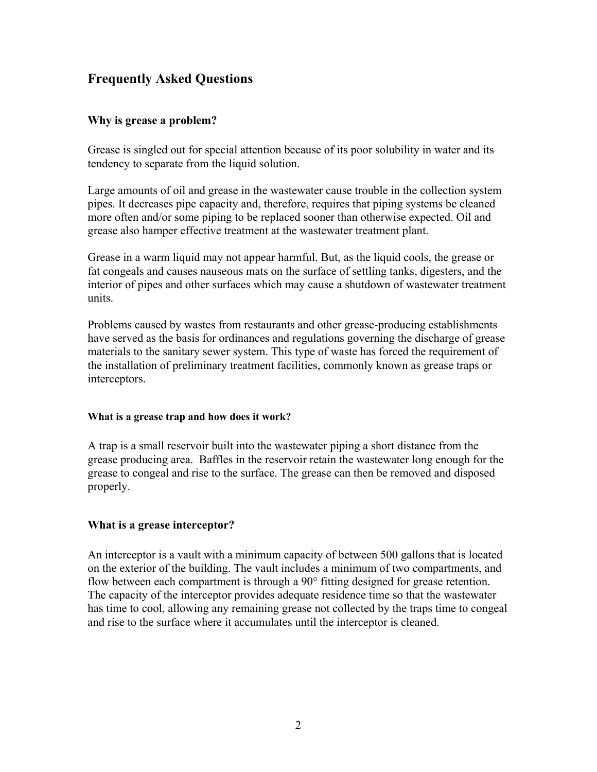# <span id="page-1-0"></span>**Frequently Asked Questions**

## **Why is grease a problem?**

Grease is singled out for special attention because of its poor solubility in water and its tendency to separate from the liquid solution.

Large amounts of oil and grease in the wastewater cause trouble in the collection system pipes. It decreases pipe capacity and, therefore, requires that piping systems be cleaned more often and/or some piping to be replaced sooner than otherwise expected. Oil and grease also hamper effective treatment at the wastewater treatment plant.

Grease in a warm liquid may not appear harmful. But, as the liquid cools, the grease or fat congeals and causes nauseous mats on the surface of settling tanks, digesters, and the interior of pipes and other surfaces which may cause a shutdown of wastewater treatment units.

Problems caused by wastes from restaurants and other grease-producing establishments have served as the basis for ordinances and regulations governing the discharge of grease materials to the sanitary sewer system. This type of waste has forced the requirement of the installation of preliminary treatment facilities, commonly known as grease traps or interceptors.

## **What is a grease trap and how does it work?**

A trap is a small reservoir built into the wastewater piping a short distance from the grease producing area. Baffles in the reservoir retain the wastewater long enough for the grease to congeal and rise to the surface. The grease can then be removed and disposed properly.

## **What is a grease interceptor?**

An interceptor is a vault with a minimum capacity of between 500 gallons that is located on the exterior of the building. The vault includes a minimum of two compartments, and flow between each compartment is through a 90° fitting designed for grease retention. The capacity of the interceptor provides adequate residence time so that the wastewater has time to cool, allowing any remaining grease not collected by the traps time to congeal and rise to the surface where it accumulates until the interceptor is cleaned.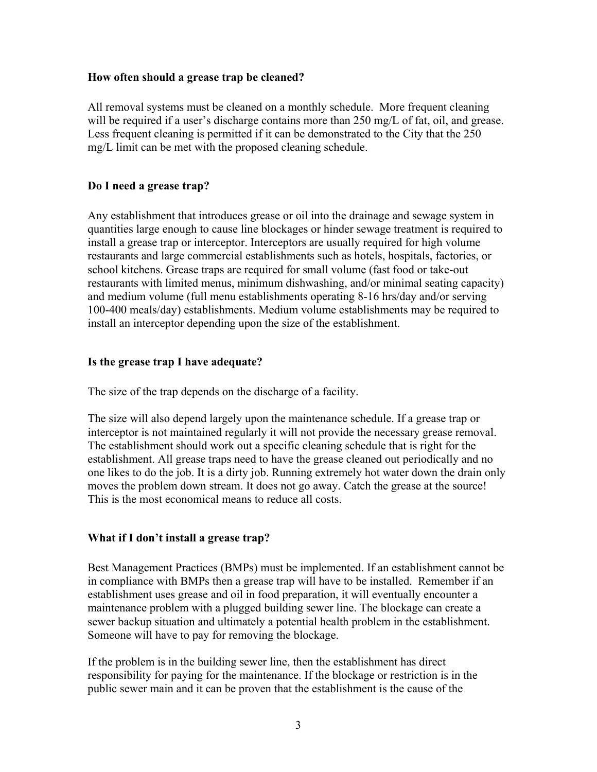## <span id="page-2-0"></span>**How often should a grease trap be cleaned?**

All removal systems must be cleaned on a monthly schedule. More frequent cleaning will be required if a user's discharge contains more than 250 mg/L of fat, oil, and grease. Less frequent cleaning is permitted if it can be demonstrated to the City that the 250 mg/L limit can be met with the proposed cleaning schedule.

## **Do I need a grease trap?**

Any establishment that introduces grease or oil into the drainage and sewage system in quantities large enough to cause line blockages or hinder sewage treatment is required to install a grease trap or interceptor. Interceptors are usually required for high volume restaurants and large commercial establishments such as hotels, hospitals, factories, or school kitchens. Grease traps are required for small volume (fast food or take-out restaurants with limited menus, minimum dishwashing, and/or minimal seating capacity) and medium volume (full menu establishments operating 8-16 hrs/day and/or serving 100-400 meals/day) establishments. Medium volume establishments may be required to install an interceptor depending upon the size of the establishment.

## **Is the grease trap I have adequate?**

The size of the trap depends on the discharge of a facility.

The size will also depend largely upon the maintenance schedule. If a grease trap or interceptor is not maintained regularly it will not provide the necessary grease removal. The establishment should work out a specific cleaning schedule that is right for the establishment. All grease traps need to have the grease cleaned out periodically and no one likes to do the job. It is a dirty job. Running extremely hot water down the drain only moves the problem down stream. It does not go away. Catch the grease at the source! This is the most economical means to reduce all costs.

## **What if I don't install a grease trap?**

Best Management Practices (BMPs) must be implemented. If an establishment cannot be in compliance with BMPs then a grease trap will have to be installed. Remember if an establishment uses grease and oil in food preparation, it will eventually encounter a maintenance problem with a plugged building sewer line. The blockage can create a sewer backup situation and ultimately a potential health problem in the establishment. Someone will have to pay for removing the blockage.

If the problem is in the building sewer line, then the establishment has direct responsibility for paying for the maintenance. If the blockage or restriction is in the public sewer main and it can be proven that the establishment is the cause of the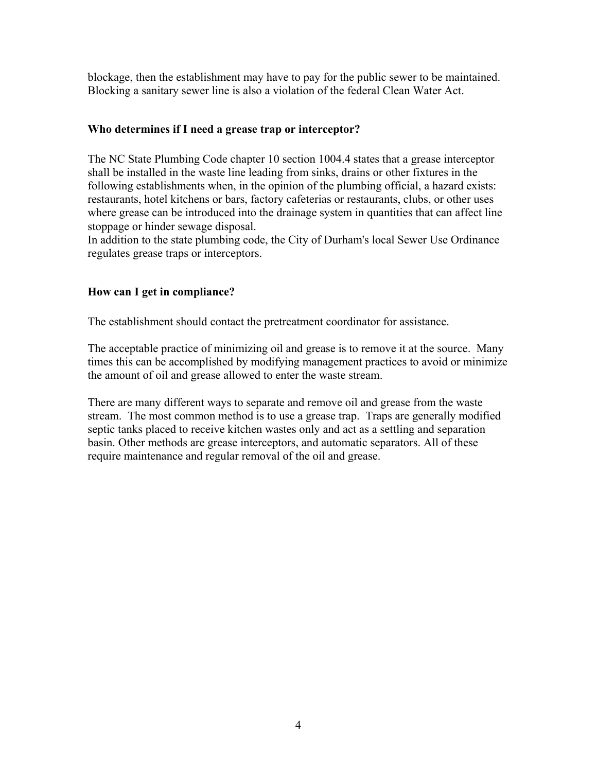<span id="page-3-0"></span>blockage, then the establishment may have to pay for the public sewer to be maintained. Blocking a sanitary sewer line is also a violation of the federal Clean Water Act.

## **Who determines if I need a grease trap or interceptor?**

The NC State Plumbing Code chapter 10 section 1004.4 states that a grease interceptor shall be installed in the waste line leading from sinks, drains or other fixtures in the following establishments when, in the opinion of the plumbing official, a hazard exists: restaurants, hotel kitchens or bars, factory cafeterias or restaurants, clubs, or other uses where grease can be introduced into the drainage system in quantities that can affect line stoppage or hinder sewage disposal.

In addition to the state plumbing code, the City of Durham's local Sewer Use Ordinance regulates grease traps or interceptors.

## **How can I get in compliance?**

The establishment should contact the pretreatment coordinator for assistance.

The acceptable practice of minimizing oil and grease is to remove it at the source. Many times this can be accomplished by modifying management practices to avoid or minimize the amount of oil and grease allowed to enter the waste stream.

There are many different ways to separate and remove oil and grease from the waste stream. The most common method is to use a grease trap. Traps are generally modified septic tanks placed to receive kitchen wastes only and act as a settling and separation basin. Other methods are grease interceptors, and automatic separators. All of these require maintenance and regular removal of the oil and grease.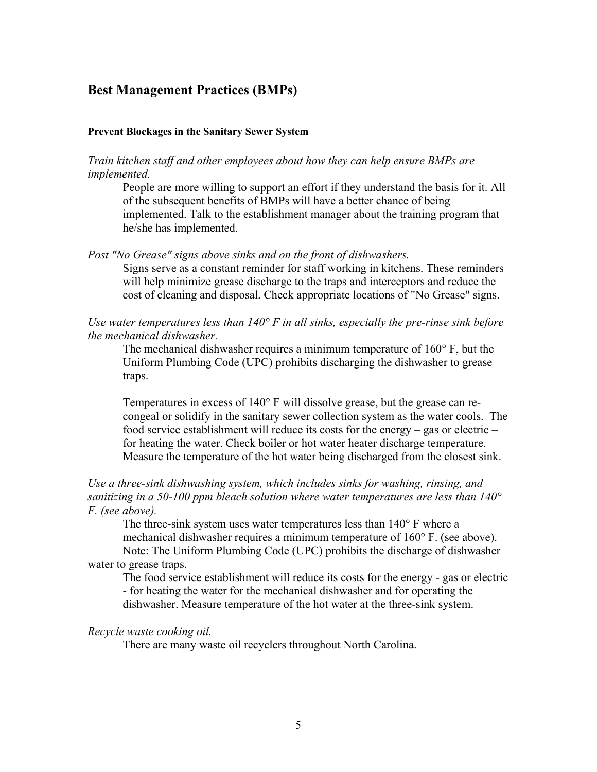# <span id="page-4-0"></span>**Best Management Practices (BMPs)**

#### **Prevent Blockages in the Sanitary Sewer System**

*Train kitchen staff and other employees about how they can help ensure BMPs are implemented.* 

People are more willing to support an effort if they understand the basis for it. All of the subsequent benefits of BMPs will have a better chance of being implemented. Talk to the establishment manager about the training program that he/she has implemented.

*Post "No Grease" signs above sinks and on the front of dishwashers.* 

Signs serve as a constant reminder for staff working in kitchens. These reminders will help minimize grease discharge to the traps and interceptors and reduce the cost of cleaning and disposal. Check appropriate locations of "No Grease" signs.

*Use water temperatures less than 140° F in all sinks, especially the pre-rinse sink before the mechanical dishwasher.*

The mechanical dishwasher requires a minimum temperature of 160° F, but the Uniform Plumbing Code (UPC) prohibits discharging the dishwasher to grease traps.

Temperatures in excess of 140° F will dissolve grease, but the grease can recongeal or solidify in the sanitary sewer collection system as the water cools. The food service establishment will reduce its costs for the energy – gas or electric – for heating the water. Check boiler or hot water heater discharge temperature. Measure the temperature of the hot water being discharged from the closest sink.

## *Use a three-sink dishwashing system, which includes sinks for washing, rinsing, and sanitizing in a 50-100 ppm bleach solution where water temperatures are less than 140° F. (see above).*

The three-sink system uses water temperatures less than 140° F where a mechanical dishwasher requires a minimum temperature of 160° F. (see above). Note: The Uniform Plumbing Code (UPC) prohibits the discharge of dishwasher water to grease traps.

The food service establishment will reduce its costs for the energy - gas or electric - for heating the water for the mechanical dishwasher and for operating the dishwasher. Measure temperature of the hot water at the three-sink system.

#### *Recycle waste cooking oil.*

There are many waste oil recyclers throughout North Carolina.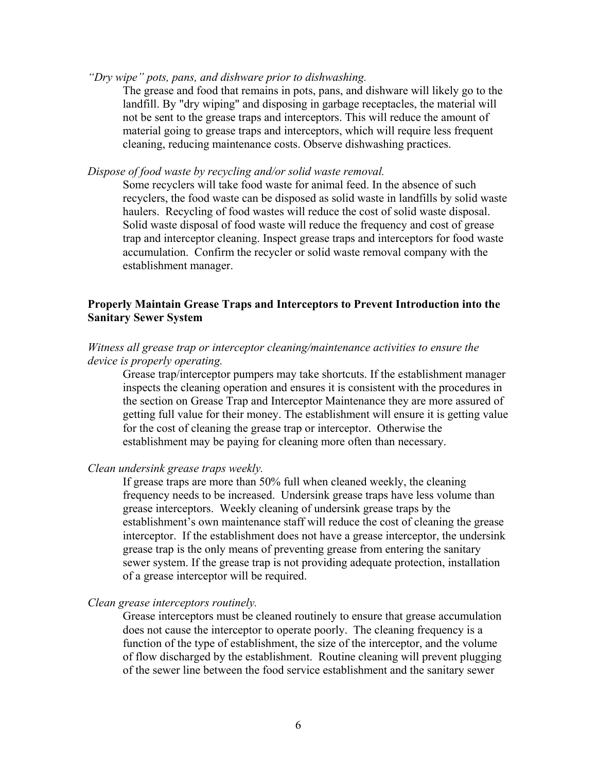#### <span id="page-5-0"></span>*"Dry wipe" pots, pans, and dishware prior to dishwashing.*

The grease and food that remains in pots, pans, and dishware will likely go to the landfill. By "dry wiping" and disposing in garbage receptacles, the material will not be sent to the grease traps and interceptors. This will reduce the amount of material going to grease traps and interceptors, which will require less frequent cleaning, reducing maintenance costs. Observe dishwashing practices.

*Dispose of food waste by recycling and/or solid waste removal.* 

Some recyclers will take food waste for animal feed. In the absence of such recyclers, the food waste can be disposed as solid waste in landfills by solid waste haulers. Recycling of food wastes will reduce the cost of solid waste disposal. Solid waste disposal of food waste will reduce the frequency and cost of grease trap and interceptor cleaning. Inspect grease traps and interceptors for food waste accumulation. Confirm the recycler or solid waste removal company with the establishment manager.

## **Properly Maintain Grease Traps and Interceptors to Prevent Introduction into the Sanitary Sewer System**

#### *Witness all grease trap or interceptor cleaning/maintenance activities to ensure the device is properly operating.*

Grease trap/interceptor pumpers may take shortcuts. If the establishment manager inspects the cleaning operation and ensures it is consistent with the procedures in the section on Grease Trap and Interceptor Maintenance they are more assured of getting full value for their money. The establishment will ensure it is getting value for the cost of cleaning the grease trap or interceptor. Otherwise the establishment may be paying for cleaning more often than necessary.

#### *Clean undersink grease traps weekly.*

If grease traps are more than 50% full when cleaned weekly, the cleaning frequency needs to be increased. Undersink grease traps have less volume than grease interceptors. Weekly cleaning of undersink grease traps by the establishment's own maintenance staff will reduce the cost of cleaning the grease interceptor. If the establishment does not have a grease interceptor, the undersink grease trap is the only means of preventing grease from entering the sanitary sewer system. If the grease trap is not providing adequate protection, installation of a grease interceptor will be required.

#### *Clean grease interceptors routinely.*

Grease interceptors must be cleaned routinely to ensure that grease accumulation does not cause the interceptor to operate poorly. The cleaning frequency is a function of the type of establishment, the size of the interceptor, and the volume of flow discharged by the establishment. Routine cleaning will prevent plugging of the sewer line between the food service establishment and the sanitary sewer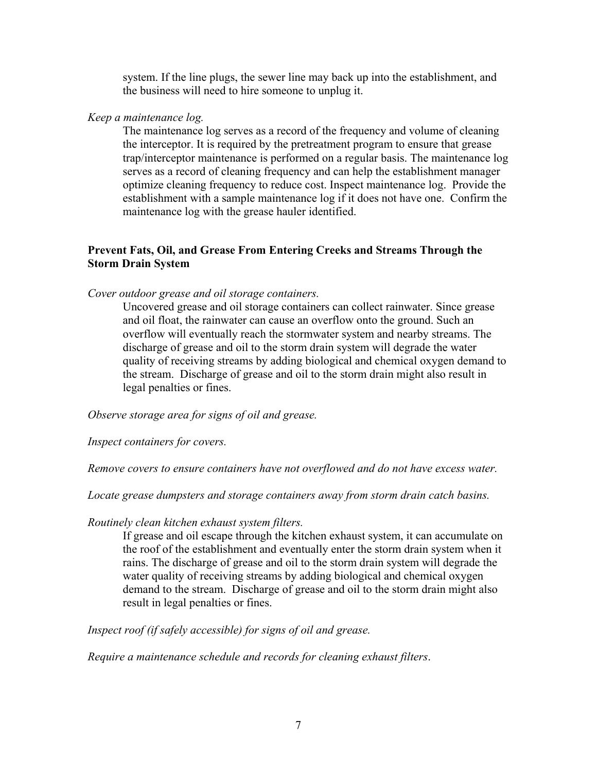system. If the line plugs, the sewer line may back up into the establishment, and the business will need to hire someone to unplug it.

## <span id="page-6-0"></span>*Keep a maintenance log.*

The maintenance log serves as a record of the frequency and volume of cleaning the interceptor. It is required by the pretreatment program to ensure that grease trap/interceptor maintenance is performed on a regular basis. The maintenance log serves as a record of cleaning frequency and can help the establishment manager optimize cleaning frequency to reduce cost. Inspect maintenance log. Provide the establishment with a sample maintenance log if it does not have one. Confirm the maintenance log with the grease hauler identified.

## **Prevent Fats, Oil, and Grease From Entering Creeks and Streams Through the Storm Drain System**

#### *Cover outdoor grease and oil storage containers.*

Uncovered grease and oil storage containers can collect rainwater. Since grease and oil float, the rainwater can cause an overflow onto the ground. Such an overflow will eventually reach the stormwater system and nearby streams. The discharge of grease and oil to the storm drain system will degrade the water quality of receiving streams by adding biological and chemical oxygen demand to the stream. Discharge of grease and oil to the storm drain might also result in legal penalties or fines.

#### *Observe storage area for signs of oil and grease.*

*Inspect containers for covers.* 

*Remove covers to ensure containers have not overflowed and do not have excess water.* 

*Locate grease dumpsters and storage containers away from storm drain catch basins.* 

*Routinely clean kitchen exhaust system filters.* 

If grease and oil escape through the kitchen exhaust system, it can accumulate on the roof of the establishment and eventually enter the storm drain system when it rains. The discharge of grease and oil to the storm drain system will degrade the water quality of receiving streams by adding biological and chemical oxygen demand to the stream. Discharge of grease and oil to the storm drain might also result in legal penalties or fines.

*Inspect roof (if safely accessible) for signs of oil and grease.* 

*Require a maintenance schedule and records for cleaning exhaust filters*.